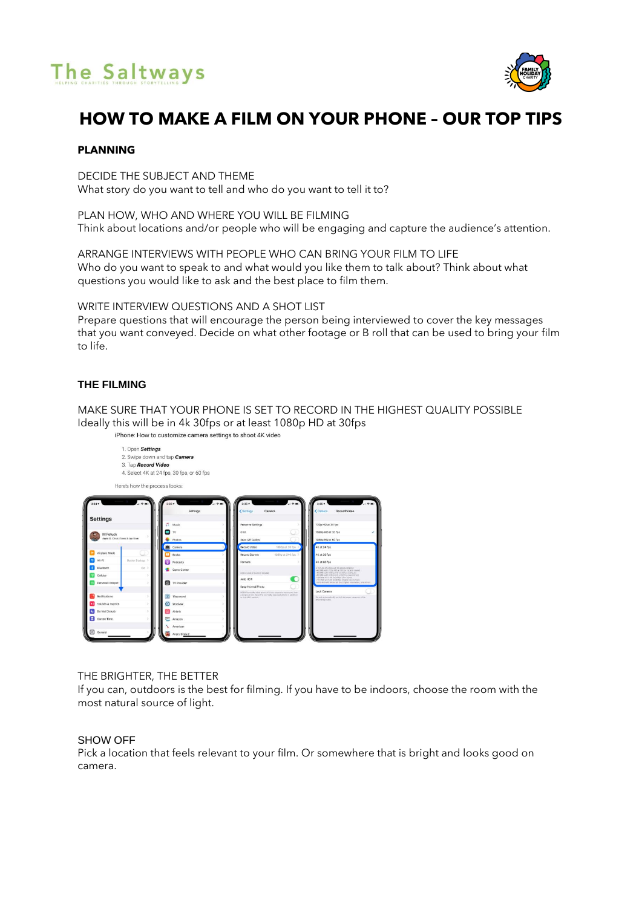# The Saltways



# **HOW TO MAKE A FILM ON YOUR PHONE – OUR TOP TIPS**

# **PLANNING**

DECIDE THE SUBJECT AND THEME What story do you want to tell and who do you want to tell it to?

PLAN HOW, WHO AND WHERE YOU WILL BE FILMING Think about locations and/or people who will be engaging and capture the audience's attention.

ARRANGE INTERVIEWS WITH PEOPLE WHO CAN BRING YOUR FILM TO LIFE Who do you want to speak to and what would you like them to talk about? Think about what questions you would like to ask and the best place to film them.

WRITE INTERVIEW QUESTIONS AND A SHOT LIST

Prepare questions that will encourage the person being interviewed to cover the key messages that you want conveyed. Decide on what other footage or B roll that can be used to bring your film to life.

# **THE FILMING**

MAKE SURE THAT YOUR PHONE IS SET TO RECORD IN THE HIGHEST QUALITY POSSIBLE Ideally this will be in 4k 30fps or at least 1080p HD at 30fps



iPhone: How to customize camera settings to shoot 4K video

# THE BRIGHTER, THE BETTER

If you can, outdoors is the best for filming. If you have to be indoors, choose the room with the most natural source of light.

# SHOW OFF

Pick a location that feels relevant to your film. Or somewhere that is bright and looks good on camera.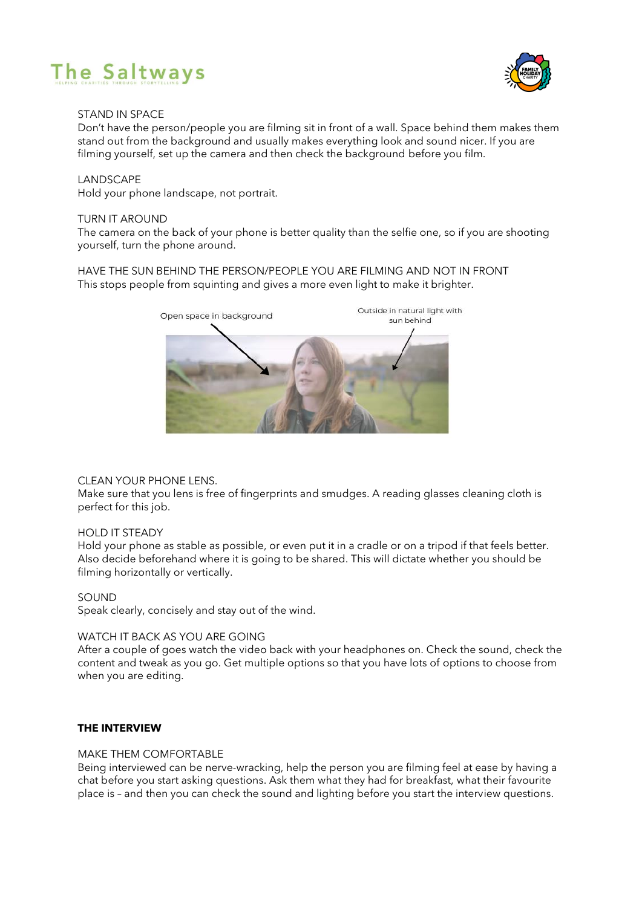



# STAND IN SPACE

Don't have the person/people you are filming sit in front of a wall. Space behind them makes them stand out from the background and usually makes everything look and sound nicer. If you are filming yourself, set up the camera and then check the background before you film.

# **LANDSCAPE**

Hold your phone landscape, not portrait.

#### TURN IT AROUND

The camera on the back of your phone is better quality than the selfie one, so if you are shooting yourself, turn the phone around.

HAVE THE SUN BEHIND THE PERSON/PEOPLE YOU ARE FILMING AND NOT IN FRONT This stops people from squinting and gives a more even light to make it brighter.



# CLEAN YOUR PHONE LENS.

Make sure that you lens is free of fingerprints and smudges. A reading glasses cleaning cloth is perfect for this job.

#### HOLD IT STEADY

Hold your phone as stable as possible, or even put it in a cradle or on a tripod if that feels better. Also decide beforehand where it is going to be shared. This will dictate whether you should be filming horizontally or vertically.

# SOUND

Speak clearly, concisely and stay out of the wind.

# WATCH IT BACK AS YOU ARE GOING

After a couple of goes watch the video back with your headphones on. Check the sound, check the content and tweak as you go. Get multiple options so that you have lots of options to choose from when you are editing.

# **THE INTERVIEW**

#### MAKE THEM COMFORTABLE

Being interviewed can be nerve-wracking, help the person you are filming feel at ease by having a chat before you start asking questions. Ask them what they had for breakfast, what their favourite place is – and then you can check the sound and lighting before you start the interview questions.